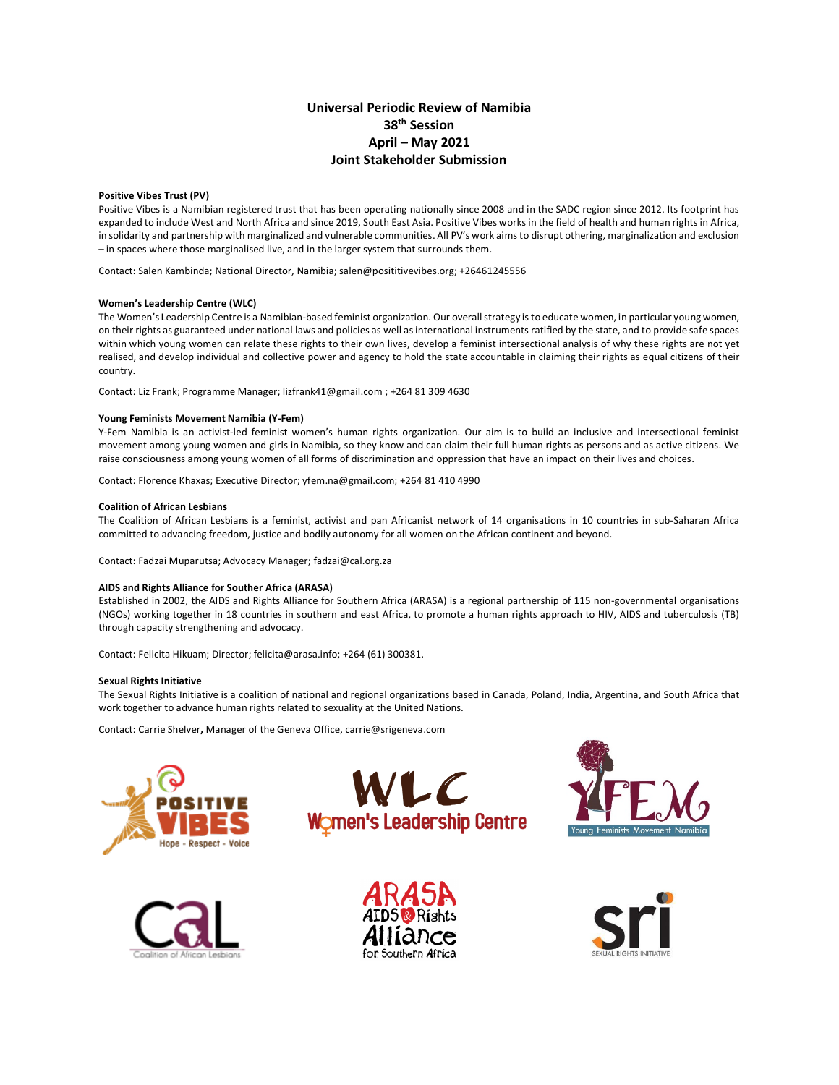### **Universal Periodic Review of Namibia 38th Session April – May 2021 Joint Stakeholder Submission**

#### **Positive Vibes Trust (PV)**

Positive Vibes is a Namibian registered trust that has been operating nationally since 2008 and in the SADC region since 2012. Its footprint has expanded to include West and North Africa and since 2019, South East Asia. Positive Vibes works in the field of health and human rights in Africa, in solidarity and partnership with marginalized and vulnerable communities. All PV's work aims to disrupt othering, marginalization and exclusion – in spaces where those marginalised live, and in the larger system that surrounds them.

Contact: Salen Kambinda; National Director, Namibia; salen@posititivevibes.org; +26461245556

#### **Women's Leadership Centre (WLC)**

The Women's Leadership Centre is a Namibian-based feminist organization. Our overall strategy is to educate women, in particular young women, on their rights as guaranteed under national laws and policies as well as international instruments ratified by the state, and to provide safe spaces within which young women can relate these rights to their own lives, develop a feminist intersectional analysis of why these rights are not yet realised, and develop individual and collective power and agency to hold the state accountable in claiming their rights as equal citizens of their country.

Contact: Liz Frank; Programme Manager; lizfrank41@gmail.com ; +264 81 309 4630

#### **Young Feminists Movement Namibia (Y-Fem)**

Y-Fem Namibia is an activist-led feminist women's human rights organization. Our aim is to build an inclusive and intersectional feminist movement among young women and girls in Namibia, so they know and can claim their full human rights as persons and as active citizens. We raise consciousness among young women of all forms of discrimination and oppression that have an impact on their lives and choices.

Contact: Florence Khaxas; Executive Director; yfem.na@gmail.com; +264 81 410 4990

#### **Coalition of African Lesbians**

The Coalition of African Lesbians is a feminist, activist and pan Africanist network of 14 organisations in 10 countries in sub-Saharan Africa committed to advancing freedom, justice and bodily autonomy for all women on the African continent and beyond.

Contact: Fadzai Muparutsa; Advocacy Manager; fadzai@cal.org.za

#### **AIDS and Rights Alliance for Souther Africa (ARASA)**

Established in 2002, the AIDS and Rights Alliance for Southern Africa (ARASA) is a regional partnership of 115 non-governmental organisations (NGOs) working together in 18 countries in southern and east Africa, to promote a human rights approach to HIV, AIDS and tuberculosis (TB) through capacity strengthening and advocacy.

Contact: Felicita Hikuam; Director; felicita@arasa.info; +264 (61) 300381.

#### **Sexual Rights Initiative**

The Sexual Rights Initiative is a coalition of national and regional organizations based in Canada, Poland, India, Argentina, and South Africa that work together to advance human rights related to sexuality at the United Nations.

Contact: Carrie Shelver**,** Manager of the Geneva Office, carrie@srigeneva.com











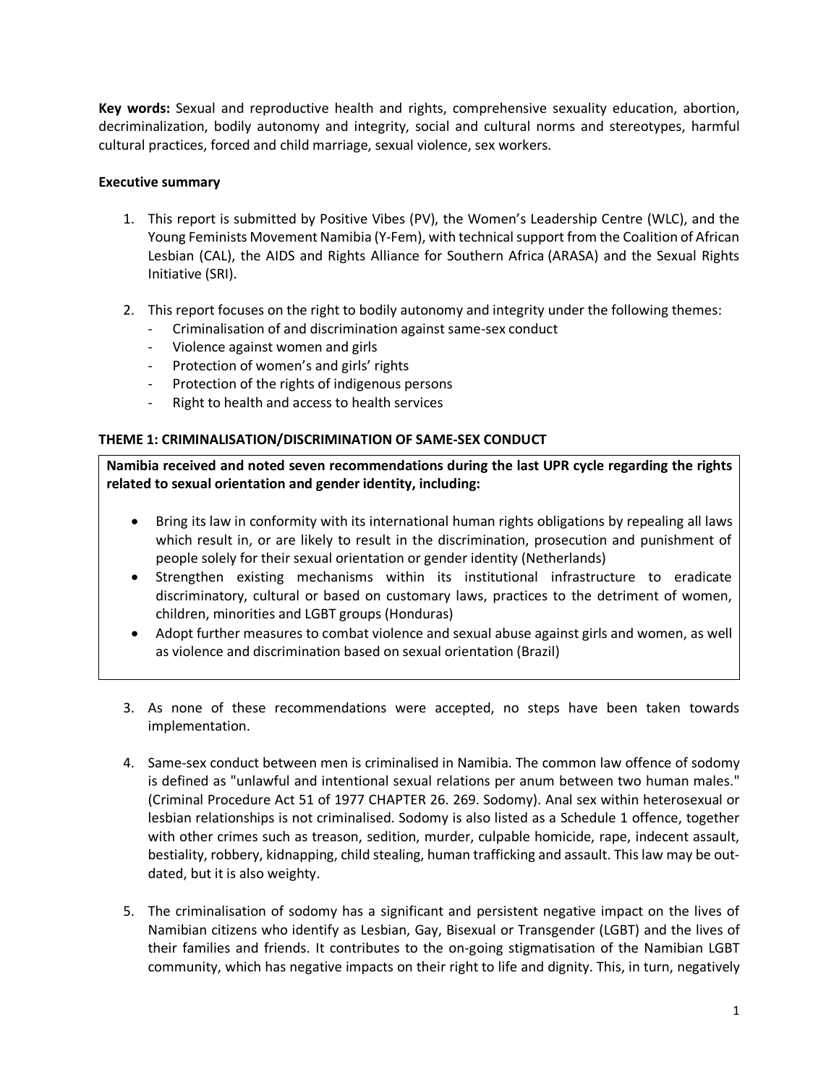**Key words:** Sexual and reproductive health and rights, comprehensive sexuality education, abortion, decriminalization, bodily autonomy and integrity, social and cultural norms and stereotypes, harmful cultural practices, forced and child marriage, sexual violence, sex workers.

## **Executive summary**

- 1. This report is submitted by Positive Vibes (PV), the Women's Leadership Centre (WLC), and the Young Feminists Movement Namibia (Y-Fem), with technical support from the Coalition of African Lesbian (CAL), the AIDS and Rights Alliance for Southern Africa (ARASA) and the Sexual Rights Initiative (SRI).
- 2. This report focuses on the right to bodily autonomy and integrity under the following themes:
	- Criminalisation of and discrimination against same-sex conduct
	- Violence against women and girls
	- Protection of women's and girls' rights
	- Protection of the rights of indigenous persons
	- Right to health and access to health services

# **THEME 1: CRIMINALISATION/DISCRIMINATION OF SAME-SEX CONDUCT**

**Namibia received and noted seven recommendations during the last UPR cycle regarding the rights related to sexual orientation and gender identity, including:**

- Bring its law in conformity with its international human rights obligations by repealing all laws which result in, or are likely to result in the discrimination, prosecution and punishment of people solely for their sexual orientation or gender identity (Netherlands)
- Strengthen existing mechanisms within its institutional infrastructure to eradicate discriminatory, cultural or based on customary laws, practices to the detriment of women, children, minorities and LGBT groups (Honduras)
- Adopt further measures to combat violence and sexual abuse against girls and women, as well as violence and discrimination based on sexual orientation (Brazil)
- 3. As none of these recommendations were accepted, no steps have been taken towards implementation.
- 4. Same-sex conduct between men is criminalised in Namibia. The common law offence of sodomy is defined as "unlawful and intentional sexual relations per anum between two human males." (Criminal Procedure Act 51 of 1977 CHAPTER 26. 269. Sodomy). Anal sex within heterosexual or lesbian relationships is not criminalised. Sodomy is also listed as a Schedule 1 offence, together with other crimes such as treason, sedition, murder, culpable homicide, rape, indecent assault, bestiality, robbery, kidnapping, child stealing, human trafficking and assault. This law may be outdated, but it is also weighty.
- 5. The criminalisation of sodomy has a significant and persistent negative impact on the lives of Namibian citizens who identify as Lesbian, Gay, Bisexual or Transgender (LGBT) and the lives of their families and friends. It contributes to the on-going stigmatisation of the Namibian LGBT community, which has negative impacts on their right to life and dignity. This, in turn, negatively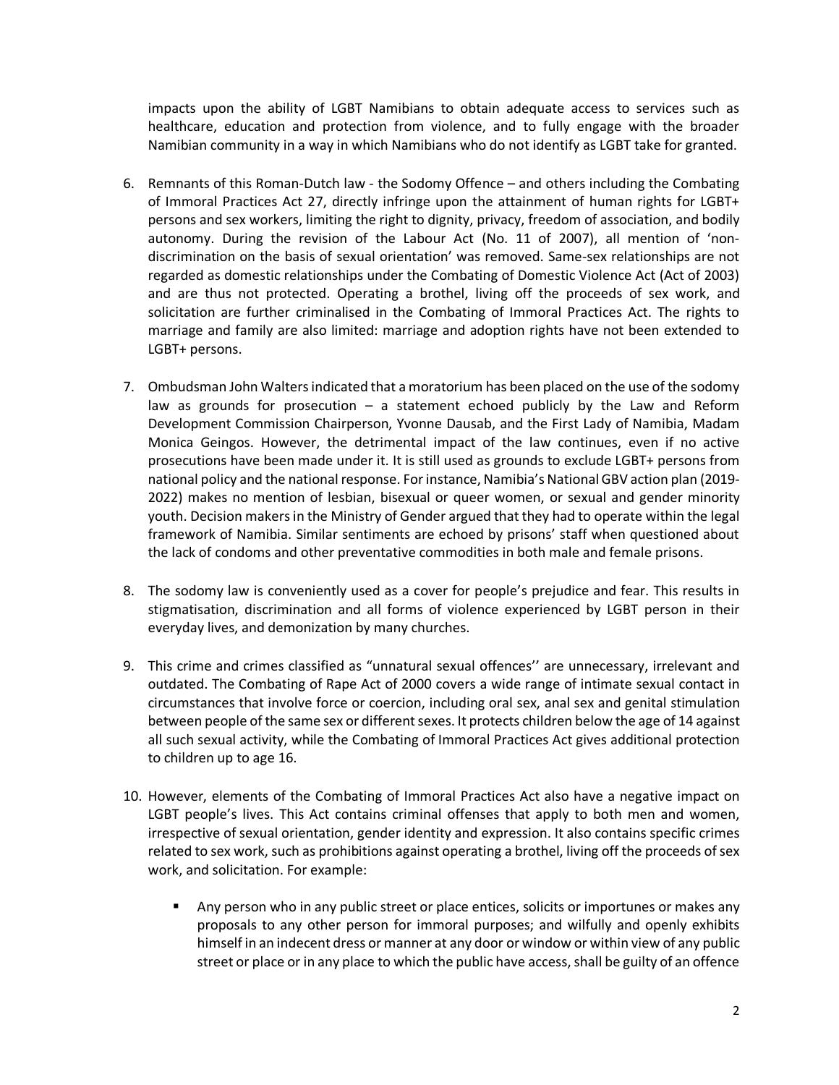impacts upon the ability of LGBT Namibians to obtain adequate access to services such as healthcare, education and protection from violence, and to fully engage with the broader Namibian community in a way in which Namibians who do not identify as LGBT take for granted.

- 6. Remnants of this Roman-Dutch law the Sodomy Offence and others including the Combating of Immoral Practices Act 27, directly infringe upon the attainment of human rights for LGBT+ persons and sex workers, limiting the right to dignity, privacy, freedom of association, and bodily autonomy. During the revision of the Labour Act (No. 11 of 2007), all mention of 'nondiscrimination on the basis of sexual orientation' was removed. Same-sex relationships are not regarded as domestic relationships under the Combating of Domestic Violence Act (Act of 2003) and are thus not protected. Operating a brothel, living off the proceeds of sex work, and solicitation are further criminalised in the Combating of Immoral Practices Act. The rights to marriage and family are also limited: marriage and adoption rights have not been extended to LGBT+ persons.
- 7. Ombudsman John Walters indicated that a moratorium has been placed on the use of the sodomy law as grounds for prosecution – a statement echoed publicly by the Law and Reform Development Commission Chairperson, Yvonne Dausab, and the First Lady of Namibia, Madam Monica Geingos. However, the detrimental impact of the law continues, even if no active prosecutions have been made under it. It is still used as grounds to exclude LGBT+ persons from national policy and the national response. For instance, Namibia's National GBV action plan (2019- 2022) makes no mention of lesbian, bisexual or queer women, or sexual and gender minority youth. Decision makers in the Ministry of Gender argued that they had to operate within the legal framework of Namibia. Similar sentiments are echoed by prisons' staff when questioned about the lack of condoms and other preventative commodities in both male and female prisons.
- 8. The sodomy law is conveniently used as a cover for people's prejudice and fear. This results in stigmatisation, discrimination and all forms of violence experienced by LGBT person in their everyday lives, and demonization by many churches.
- 9. This crime and crimes classified as "unnatural sexual offences'' are unnecessary, irrelevant and outdated. The Combating of Rape Act of 2000 covers a wide range of intimate sexual contact in circumstances that involve force or coercion, including oral sex, anal sex and genital stimulation between people of the same sex or different sexes. It protects children below the age of 14 against all such sexual activity, while the Combating of Immoral Practices Act gives additional protection to children up to age 16.
- 10. However, elements of the Combating of Immoral Practices Act also have a negative impact on LGBT people's lives. This Act contains criminal offenses that apply to both men and women, irrespective of sexual orientation, gender identity and expression. It also contains specific crimes related to sex work, such as prohibitions against operating a brothel, living off the proceeds of sex work, and solicitation. For example:
	- Any person who in any public street or place entices, solicits or importunes or makes any proposals to any other person for immoral purposes; and wilfully and openly exhibits himself in an indecent dress or manner at any door or window or within view of any public street or place or in any place to which the public have access, shall be guilty of an offence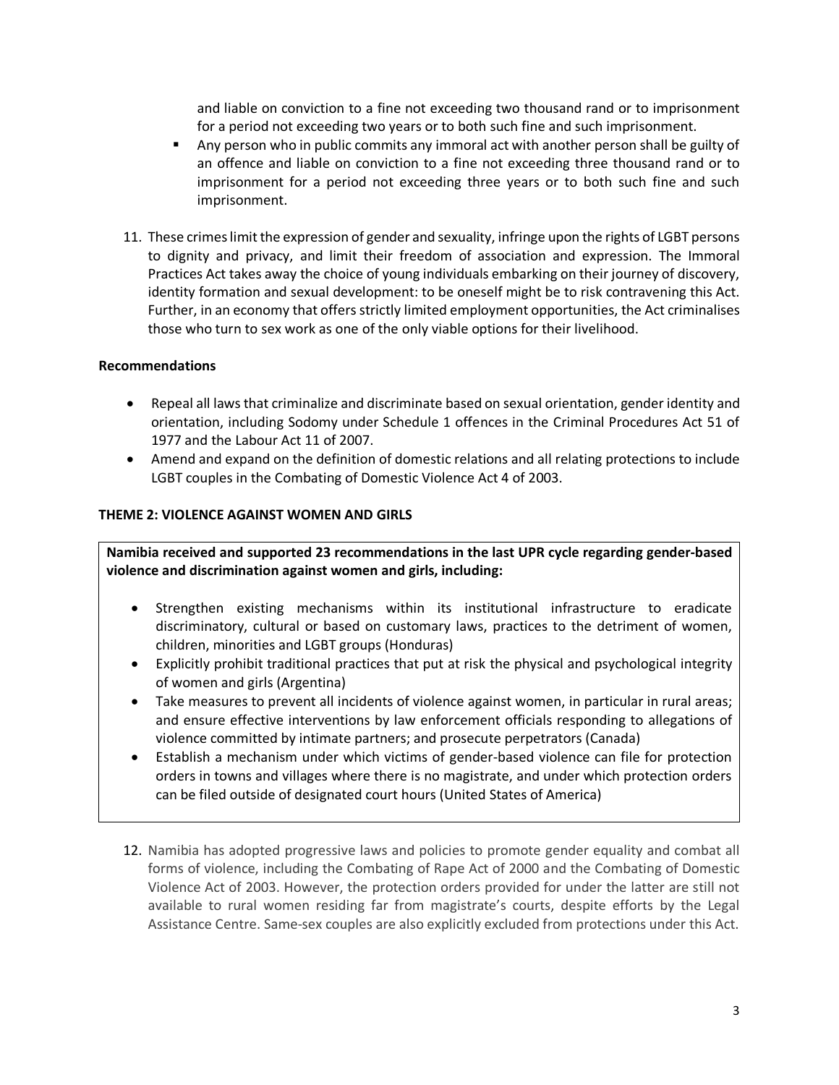and liable on conviction to a fine not exceeding two thousand rand or to imprisonment for a period not exceeding two years or to both such fine and such imprisonment.

- § Any person who in public commits any immoral act with another person shall be guilty of an offence and liable on conviction to a fine not exceeding three thousand rand or to imprisonment for a period not exceeding three years or to both such fine and such imprisonment.
- 11. These crimes limit the expression of gender and sexuality, infringe upon the rights of LGBT persons to dignity and privacy, and limit their freedom of association and expression. The Immoral Practices Act takes away the choice of young individuals embarking on their journey of discovery, identity formation and sexual development: to be oneself might be to risk contravening this Act. Further, in an economy that offers strictly limited employment opportunities, the Act criminalises those who turn to sex work as one of the only viable options for their livelihood.

### **Recommendations**

- Repeal all laws that criminalize and discriminate based on sexual orientation, gender identity and orientation, including Sodomy under Schedule 1 offences in the Criminal Procedures Act 51 of 1977 and the Labour Act 11 of 2007.
- Amend and expand on the definition of domestic relations and all relating protections to include LGBT couples in the Combating of Domestic Violence Act 4 of 2003.

### **THEME 2: VIOLENCE AGAINST WOMEN AND GIRLS**

**Namibia received and supported 23 recommendations in the last UPR cycle regarding gender-based violence and discrimination against women and girls, including:**

- Strengthen existing mechanisms within its institutional infrastructure to eradicate discriminatory, cultural or based on customary laws, practices to the detriment of women, children, minorities and LGBT groups (Honduras)
- Explicitly prohibit traditional practices that put at risk the physical and psychological integrity of women and girls (Argentina)
- Take measures to prevent all incidents of violence against women, in particular in rural areas; and ensure effective interventions by law enforcement officials responding to allegations of violence committed by intimate partners; and prosecute perpetrators (Canada)
- Establish a mechanism under which victims of gender-based violence can file for protection orders in towns and villages where there is no magistrate, and under which protection orders can be filed outside of designated court hours (United States of America)
- 12. Namibia has adopted progressive laws and policies to promote gender equality and combat all forms of violence, including the Combating of Rape Act of 2000 and the Combating of Domestic Violence Act of 2003. However, the protection orders provided for under the latter are still not available to rural women residing far from magistrate's courts, despite efforts by the Legal Assistance Centre. Same-sex couples are also explicitly excluded from protections under this Act.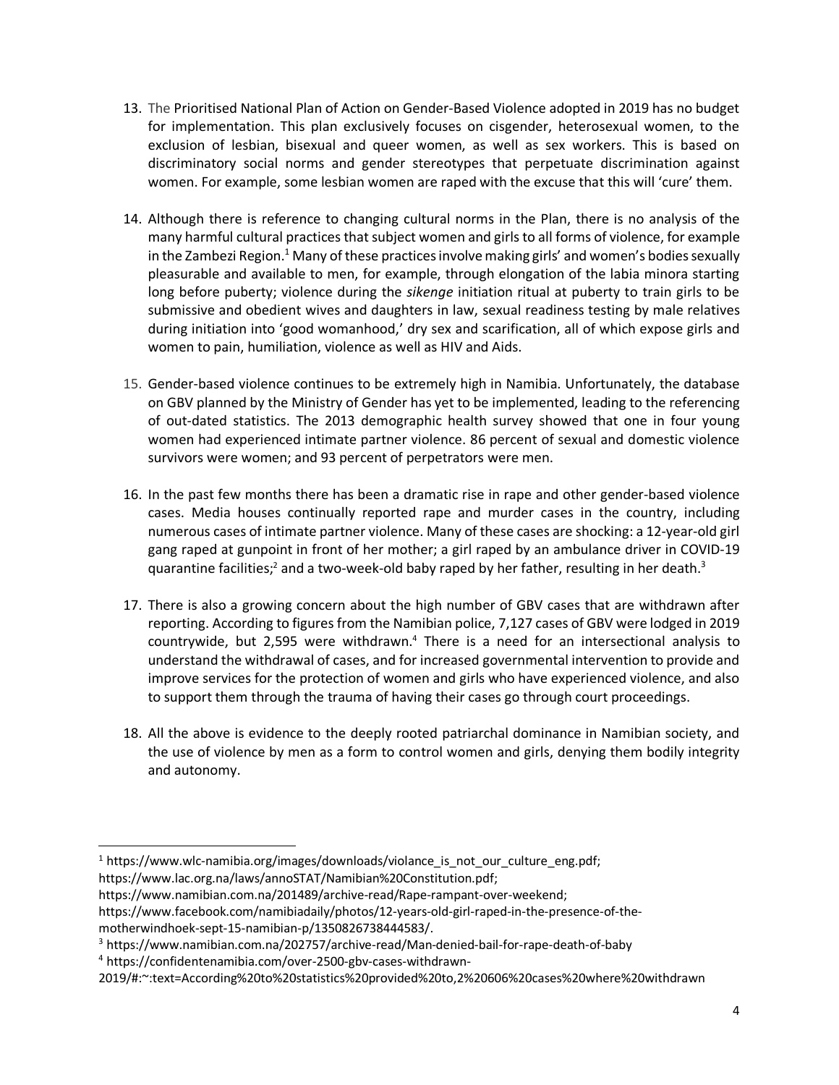- 13. The Prioritised National Plan of Action on Gender-Based Violence adopted in 2019 has no budget for implementation. This plan exclusively focuses on cisgender, heterosexual women, to the exclusion of lesbian, bisexual and queer women, as well as sex workers. This is based on discriminatory social norms and gender stereotypes that perpetuate discrimination against women. For example, some lesbian women are raped with the excuse that this will 'cure' them.
- 14. Although there is reference to changing cultural norms in the Plan, there is no analysis of the many harmful cultural practices that subject women and girls to all forms of violence, for example in the Zambezi Region.<sup>1</sup> Many of these practices involve making girls' and women's bodies sexually pleasurable and available to men, for example, through elongation of the labia minora starting long before puberty; violence during the *sikenge* initiation ritual at puberty to train girls to be submissive and obedient wives and daughters in law, sexual readiness testing by male relatives during initiation into 'good womanhood,' dry sex and scarification, all of which expose girls and women to pain, humiliation, violence as well as HIV and Aids.
- 15. Gender-based violence continues to be extremely high in Namibia. Unfortunately, the database on GBV planned by the Ministry of Gender has yet to be implemented, leading to the referencing of out-dated statistics. The 2013 demographic health survey showed that one in four young women had experienced intimate partner violence. 86 percent of sexual and domestic violence survivors were women; and 93 percent of perpetrators were men.
- 16. In the past few months there has been a dramatic rise in rape and other gender-based violence cases. Media houses continually reported rape and murder cases in the country, including numerous cases of intimate partner violence. Many of these cases are shocking: a 12-year-old girl gang raped at gunpoint in front of her mother; a girl raped by an ambulance driver in COVID-19 quarantine facilities;<sup>2</sup> and a two-week-old baby raped by her father, resulting in her death.<sup>3</sup>
- 17. There is also a growing concern about the high number of GBV cases that are withdrawn after reporting. According to figures from the Namibian police, 7,127 cases of GBV were lodged in 2019 countrywide, but 2,595 were withdrawn.4 There is a need for an intersectional analysis to understand the withdrawal of cases, and for increased governmental intervention to provide and improve services for the protection of women and girls who have experienced violence, and also to support them through the trauma of having their cases go through court proceedings.
- 18. All the above is evidence to the deeply rooted patriarchal dominance in Namibian society, and the use of violence by men as a form to control women and girls, denying them bodily integrity and autonomy.

<sup>&</sup>lt;sup>1</sup> https://www.wlc-namibia.org/images/downloads/violance is not our culture eng.pdf;

https://www.lac.org.na/laws/annoSTAT/Namibian%20Constitution.pdf;

https://www.namibian.com.na/201489/archive-read/Rape-rampant-over-weekend;

https://www.facebook.com/namibiadaily/photos/12-years-old-girl-raped-in-the-presence-of-the-

motherwindhoek-sept-15-namibian-p/1350826738444583/.<br><sup>3</sup> https://www.namibian.com.na/202757/archive-read/Man-denied-bail-for-rape-death-of-baby

<sup>4</sup> https://confidentenamibia.com/over-2500-gbv-cases-withdrawn-

<sup>2019/#:~:</sup>text=According%20to%20statistics%20provided%20to,2%20606%20cases%20where%20withdrawn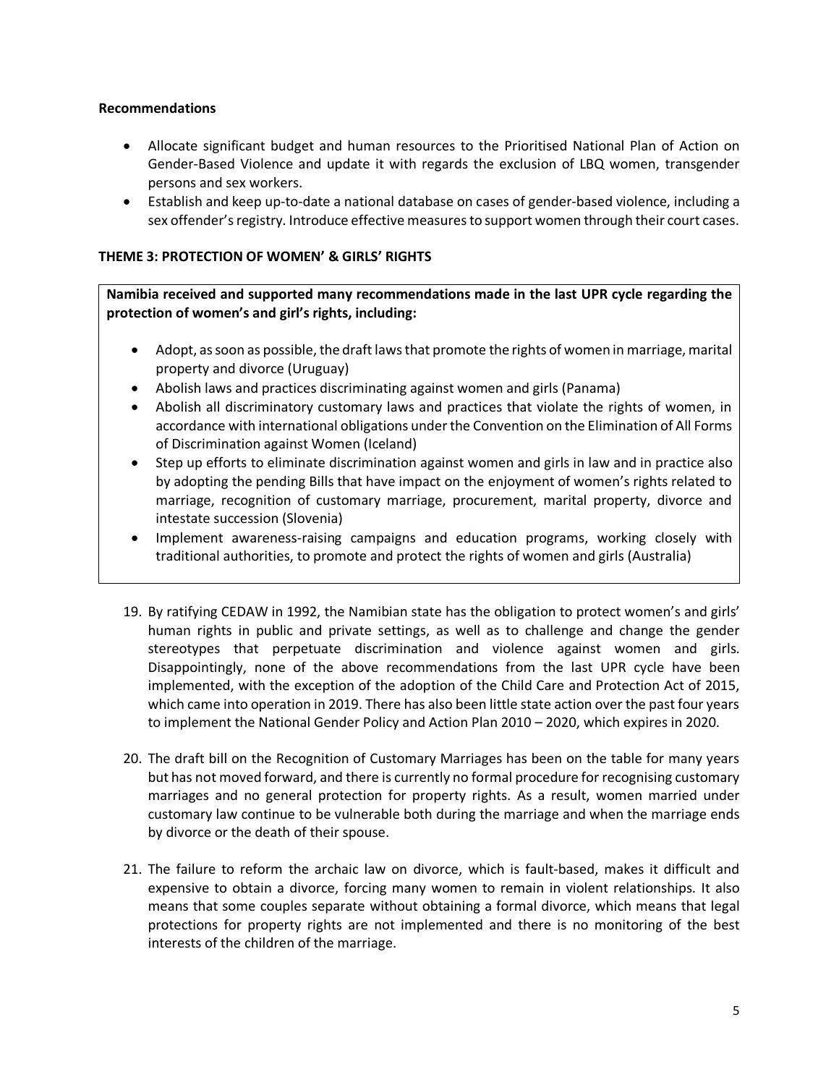- Allocate significant budget and human resources to the Prioritised National Plan of Action on Gender-Based Violence and update it with regards the exclusion of LBQ women, transgender persons and sex workers.
- Establish and keep up-to-date a national database on cases of gender-based violence, including a sex offender's registry. Introduce effective measures to support women through their court cases.

### **THEME 3: PROTECTION OF WOMEN' & GIRLS' RIGHTS**

**Namibia received and supported many recommendations made in the last UPR cycle regarding the protection of women's and girl's rights, including:**

- Adopt, as soon as possible, the draft laws that promote the rights of women in marriage, marital property and divorce (Uruguay)
- Abolish laws and practices discriminating against women and girls (Panama)
- Abolish all discriminatory customary laws and practices that violate the rights of women, in accordance with international obligations under the Convention on the Elimination of All Forms of Discrimination against Women (Iceland)
- Step up efforts to eliminate discrimination against women and girls in law and in practice also by adopting the pending Bills that have impact on the enjoyment of women's rights related to marriage, recognition of customary marriage, procurement, marital property, divorce and intestate succession (Slovenia)
- Implement awareness-raising campaigns and education programs, working closely with traditional authorities, to promote and protect the rights of women and girls (Australia)
- 19. By ratifying CEDAW in 1992, the Namibian state has the obligation to protect women's and girls' human rights in public and private settings, as well as to challenge and change the gender stereotypes that perpetuate discrimination and violence against women and girls. Disappointingly, none of the above recommendations from the last UPR cycle have been implemented, with the exception of the adoption of the Child Care and Protection Act of 2015, which came into operation in 2019. There has also been little state action over the past four years to implement the National Gender Policy and Action Plan 2010 – 2020, which expires in 2020.
- 20. The draft bill on the Recognition of Customary Marriages has been on the table for many years but has not moved forward, and there is currently no formal procedure for recognising customary marriages and no general protection for property rights. As a result, women married under customary law continue to be vulnerable both during the marriage and when the marriage ends by divorce or the death of their spouse.
- 21. The failure to reform the archaic law on divorce, which is fault-based, makes it difficult and expensive to obtain a divorce, forcing many women to remain in violent relationships. It also means that some couples separate without obtaining a formal divorce, which means that legal protections for property rights are not implemented and there is no monitoring of the best interests of the children of the marriage.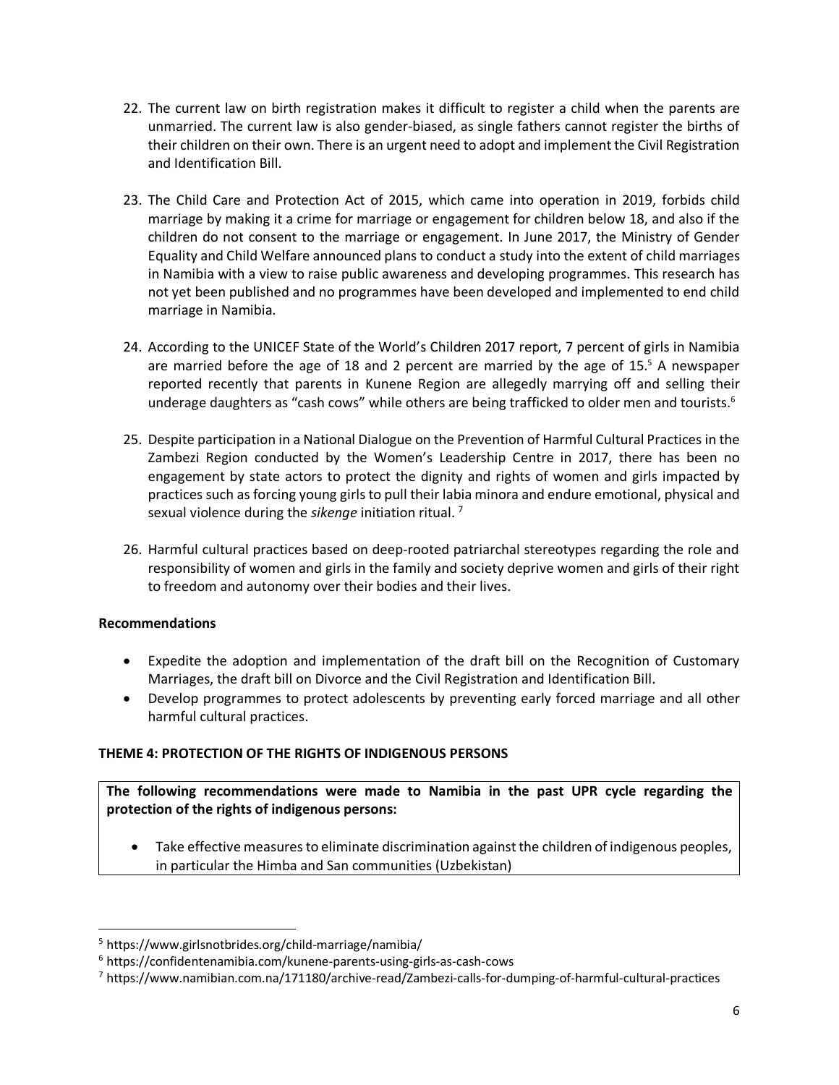- 22. The current law on birth registration makes it difficult to register a child when the parents are unmarried. The current law is also gender-biased, as single fathers cannot register the births of their children on their own. There is an urgent need to adopt and implement the Civil Registration and Identification Bill.
- 23. The Child Care and Protection Act of 2015, which came into operation in 2019, forbids child marriage by making it a crime for marriage or engagement for children below 18, and also if the children do not consent to the marriage or engagement. In June 2017, the Ministry of Gender Equality and Child Welfare announced plans to conduct a study into the extent of child marriages in Namibia with a view to raise public awareness and developing programmes. This research has not yet been published and no programmes have been developed and implemented to end child marriage in Namibia.
- 24. According to the UNICEF State of the World's Children 2017 report, 7 percent of girls in Namibia are married before the age of 18 and 2 percent are married by the age of 15. <sup>5</sup> A newspaper reported recently that parents in Kunene Region are allegedly marrying off and selling their underage daughters as "cash cows" while others are being trafficked to older men and tourists.<sup>6</sup>
- 25. Despite participation in a National Dialogue on the Prevention of Harmful Cultural Practices in the Zambezi Region conducted by the Women's Leadership Centre in 2017, there has been no engagement by state actors to protect the dignity and rights of women and girls impacted by practices such as forcing young girls to pull their labia minora and endure emotional, physical and sexual violence during the *sikenge* initiation ritual. 7
- 26. Harmful cultural practices based on deep-rooted patriarchal stereotypes regarding the role and responsibility of women and girls in the family and society deprive women and girls of their right to freedom and autonomy over their bodies and their lives.

- Expedite the adoption and implementation of the draft bill on the Recognition of Customary Marriages, the draft bill on Divorce and the Civil Registration and Identification Bill.
- Develop programmes to protect adolescents by preventing early forced marriage and all other harmful cultural practices.

# **THEME 4: PROTECTION OF THE RIGHTS OF INDIGENOUS PERSONS**

**The following recommendations were made to Namibia in the past UPR cycle regarding the protection of the rights of indigenous persons:**

• Take effective measures to eliminate discrimination against the children of indigenous peoples, in particular the Himba and San communities (Uzbekistan)

 <sup>5</sup> https://www.girlsnotbrides.org/child-marriage/namibia/

<sup>6</sup> https://confidentenamibia.com/kunene-parents-using-girls-as-cash-cows

<sup>7</sup> https://www.namibian.com.na/171180/archive-read/Zambezi-calls-for-dumping-of-harmful-cultural-practices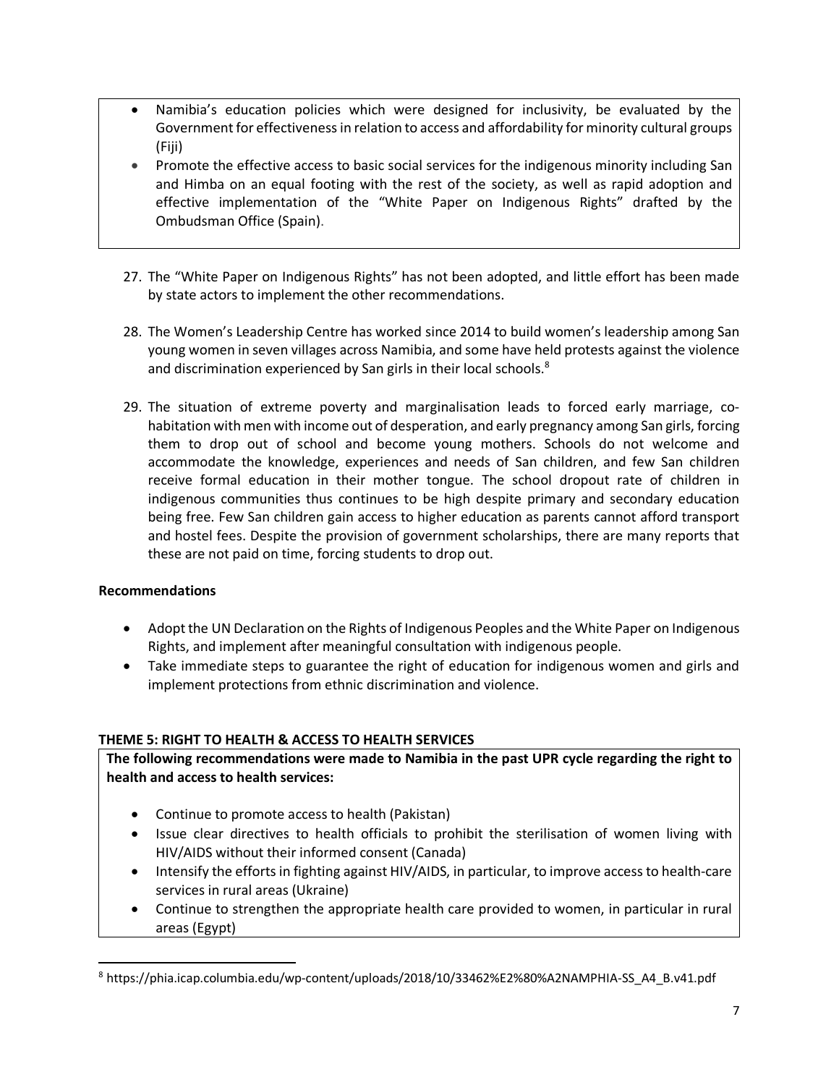- Namibia's education policies which were designed for inclusivity, be evaluated by the Government for effectiveness in relation to access and affordability for minority cultural groups (Fiji)
- Promote the effective access to basic social services for the indigenous minority including San and Himba on an equal footing with the rest of the society, as well as rapid adoption and effective implementation of the "White Paper on Indigenous Rights" drafted by the Ombudsman Office (Spain).
- 27. The "White Paper on Indigenous Rights" has not been adopted, and little effort has been made by state actors to implement the other recommendations.
- 28. The Women's Leadership Centre has worked since 2014 to build women's leadership among San young women in seven villages across Namibia, and some have held protests against the violence and discrimination experienced by San girls in their local schools. $8$
- 29. The situation of extreme poverty and marginalisation leads to forced early marriage, cohabitation with men with income out of desperation, and early pregnancy among San girls, forcing them to drop out of school and become young mothers. Schools do not welcome and accommodate the knowledge, experiences and needs of San children, and few San children receive formal education in their mother tongue. The school dropout rate of children in indigenous communities thus continues to be high despite primary and secondary education being free. Few San children gain access to higher education as parents cannot afford transport and hostel fees. Despite the provision of government scholarships, there are many reports that these are not paid on time, forcing students to drop out.

- Adopt the UN Declaration on the Rights of Indigenous Peoples and the White Paper on Indigenous Rights, and implement after meaningful consultation with indigenous people.
- Take immediate steps to guarantee the right of education for indigenous women and girls and implement protections from ethnic discrimination and violence.

# **THEME 5: RIGHT TO HEALTH & ACCESS TO HEALTH SERVICES**

**The following recommendations were made to Namibia in the past UPR cycle regarding the right to health and access to health services:**

- Continue to promote access to health (Pakistan)
- Issue clear directives to health officials to prohibit the sterilisation of women living with HIV/AIDS without their informed consent (Canada)
- Intensify the efforts in fighting against HIV/AIDS, in particular, to improve access to health-care services in rural areas (Ukraine)
- Continue to strengthen the appropriate health care provided to women, in particular in rural areas (Egypt)

 <sup>8</sup> https://phia.icap.columbia.edu/wp-content/uploads/2018/10/33462%E2%80%A2NAMPHIA-SS\_A4\_B.v41.pdf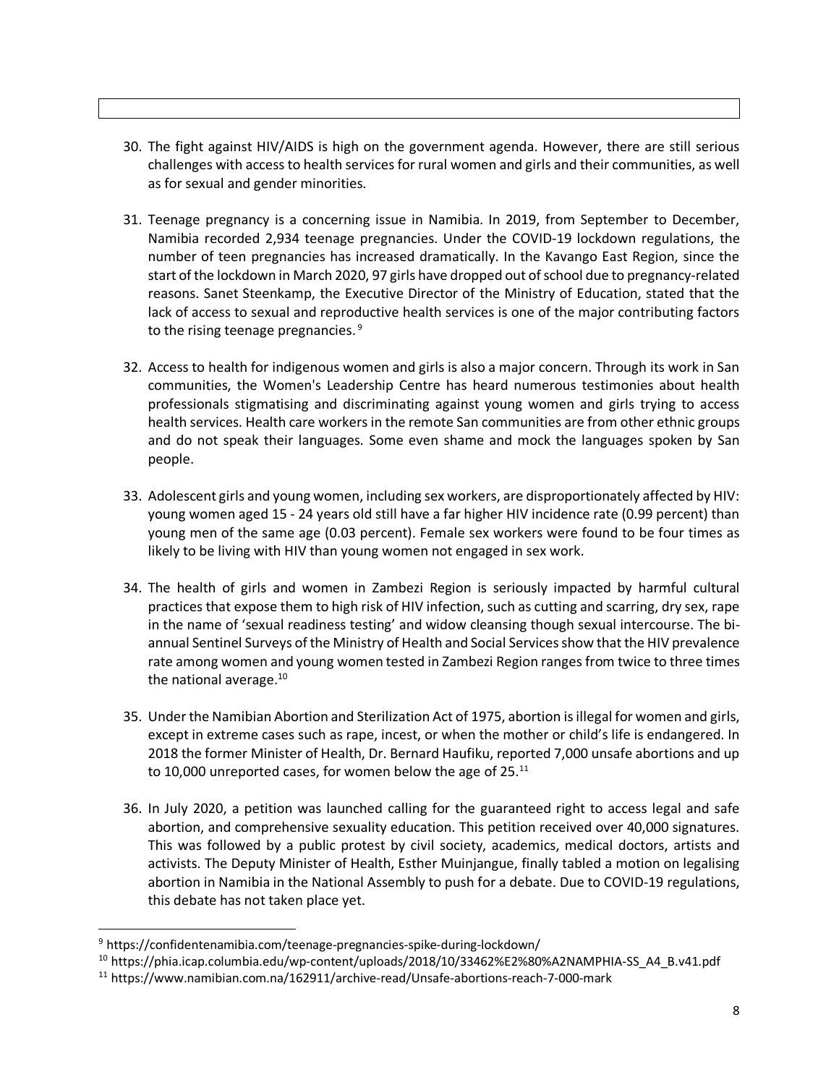- 30. The fight against HIV/AIDS is high on the government agenda. However, there are still serious challenges with access to health services for rural women and girls and their communities, as well as for sexual and gender minorities.
- 31. Teenage pregnancy is a concerning issue in Namibia. In 2019, from September to December, Namibia recorded 2,934 teenage pregnancies. Under the COVID-19 lockdown regulations, the number of teen pregnancies has increased dramatically. In the Kavango East Region, since the start of the lockdown in March 2020, 97 girls have dropped out of school due to pregnancy-related reasons. Sanet Steenkamp, the Executive Director of the Ministry of Education, stated that the lack of access to sexual and reproductive health services is one of the major contributing factors to the rising teenage pregnancies.<sup>9</sup>
- 32. Access to health for indigenous women and girls is also a major concern. Through its work in San communities, the Women's Leadership Centre has heard numerous testimonies about health professionals stigmatising and discriminating against young women and girls trying to access health services. Health care workers in the remote San communities are from other ethnic groups and do not speak their languages. Some even shame and mock the languages spoken by San people.
- 33. Adolescent girls and young women, including sex workers, are disproportionately affected by HIV: young women aged 15 - 24 years old still have a far higher HIV incidence rate (0.99 percent) than young men of the same age (0.03 percent). Female sex workers were found to be four times as likely to be living with HIV than young women not engaged in sex work.
- 34. The health of girls and women in Zambezi Region is seriously impacted by harmful cultural practices that expose them to high risk of HIV infection, such as cutting and scarring, dry sex, rape in the name of 'sexual readiness testing' and widow cleansing though sexual intercourse. The biannual Sentinel Surveys of the Ministry of Health and Social Services show that the HIV prevalence rate among women and young women tested in Zambezi Region ranges from twice to three times the national average. $10$
- 35. Under the Namibian Abortion and Sterilization Act of 1975, abortion is illegal for women and girls, except in extreme cases such as rape, incest, or when the mother or child's life is endangered. In 2018 the former Minister of Health, Dr. Bernard Haufiku, reported 7,000 unsafe abortions and up to 10,000 unreported cases, for women below the age of  $25.^{11}$
- 36. In July 2020, a petition was launched calling for the guaranteed right to access legal and safe abortion, and comprehensive sexuality education. This petition received over 40,000 signatures. This was followed by a public protest by civil society, academics, medical doctors, artists and activists. The Deputy Minister of Health, Esther Muinjangue, finally tabled a motion on legalising abortion in Namibia in the National Assembly to push for a debate. Due to COVID-19 regulations, this debate has not taken place yet.

 <sup>9</sup> https://confidentenamibia.com/teenage-pregnancies-spike-during-lockdown/

<sup>&</sup>lt;sup>10</sup> https://phia.icap.columbia.edu/wp-content/uploads/2018/10/33462%E2%80%A2NAMPHIA-SS\_A4\_B.v41.pdf<br><sup>11</sup> https://www.namibian.com.na/162911/archive-read/Unsafe-abortions-reach-7-000-mark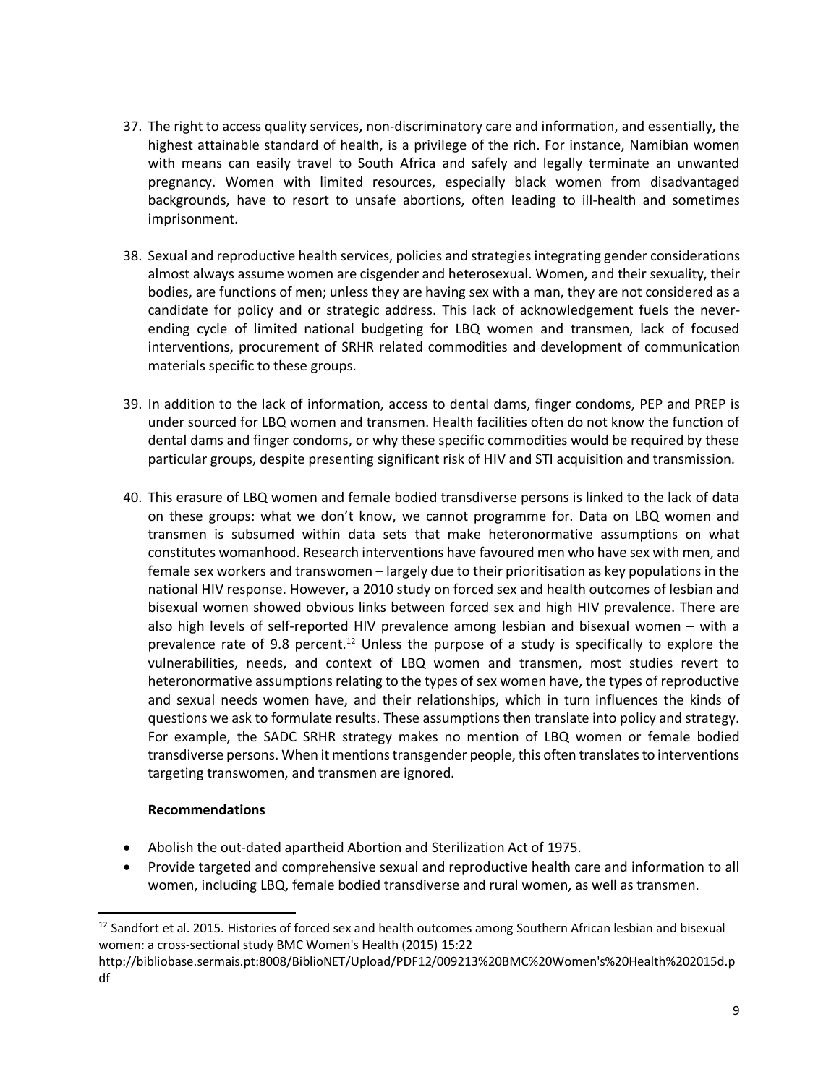- 37. The right to access quality services, non-discriminatory care and information, and essentially, the highest attainable standard of health, is a privilege of the rich. For instance, Namibian women with means can easily travel to South Africa and safely and legally terminate an unwanted pregnancy. Women with limited resources, especially black women from disadvantaged backgrounds, have to resort to unsafe abortions, often leading to ill-health and sometimes imprisonment.
- 38. Sexual and reproductive health services, policies and strategies integrating gender considerations almost always assume women are cisgender and heterosexual. Women, and their sexuality, their bodies, are functions of men; unless they are having sex with a man, they are not considered as a candidate for policy and or strategic address. This lack of acknowledgement fuels the neverending cycle of limited national budgeting for LBQ women and transmen, lack of focused interventions, procurement of SRHR related commodities and development of communication materials specific to these groups.
- 39. In addition to the lack of information, access to dental dams, finger condoms, PEP and PREP is under sourced for LBQ women and transmen. Health facilities often do not know the function of dental dams and finger condoms, or why these specific commodities would be required by these particular groups, despite presenting significant risk of HIV and STI acquisition and transmission.
- 40. This erasure of LBQ women and female bodied transdiverse persons is linked to the lack of data on these groups: what we don't know, we cannot programme for. Data on LBQ women and transmen is subsumed within data sets that make heteronormative assumptions on what constitutes womanhood. Research interventions have favoured men who have sex with men, and female sex workers and transwomen – largely due to their prioritisation as key populations in the national HIV response. However, a 2010 study on forced sex and health outcomes of lesbian and bisexual women showed obvious links between forced sex and high HIV prevalence. There are also high levels of self-reported HIV prevalence among lesbian and bisexual women – with a prevalence rate of 9.8 percent.<sup>12</sup> Unless the purpose of a study is specifically to explore the vulnerabilities, needs, and context of LBQ women and transmen, most studies revert to heteronormative assumptions relating to the types of sex women have, the types of reproductive and sexual needs women have, and their relationships, which in turn influences the kinds of questions we ask to formulate results. These assumptions then translate into policy and strategy. For example, the SADC SRHR strategy makes no mention of LBQ women or female bodied transdiverse persons. When it mentions transgender people, this often translates to interventions targeting transwomen, and transmen are ignored.

- Abolish the out-dated apartheid Abortion and Sterilization Act of 1975.
- Provide targeted and comprehensive sexual and reproductive health care and information to all women, including LBQ, female bodied transdiverse and rural women, as well as transmen.

<sup>&</sup>lt;sup>12</sup> Sandfort et al. 2015. Histories of forced sex and health outcomes among Southern African lesbian and bisexual women: a cross-sectional study BMC Women's Health (2015) 15:22

http://bibliobase.sermais.pt:8008/BiblioNET/Upload/PDF12/009213%20BMC%20Women's%20Health%202015d.p df